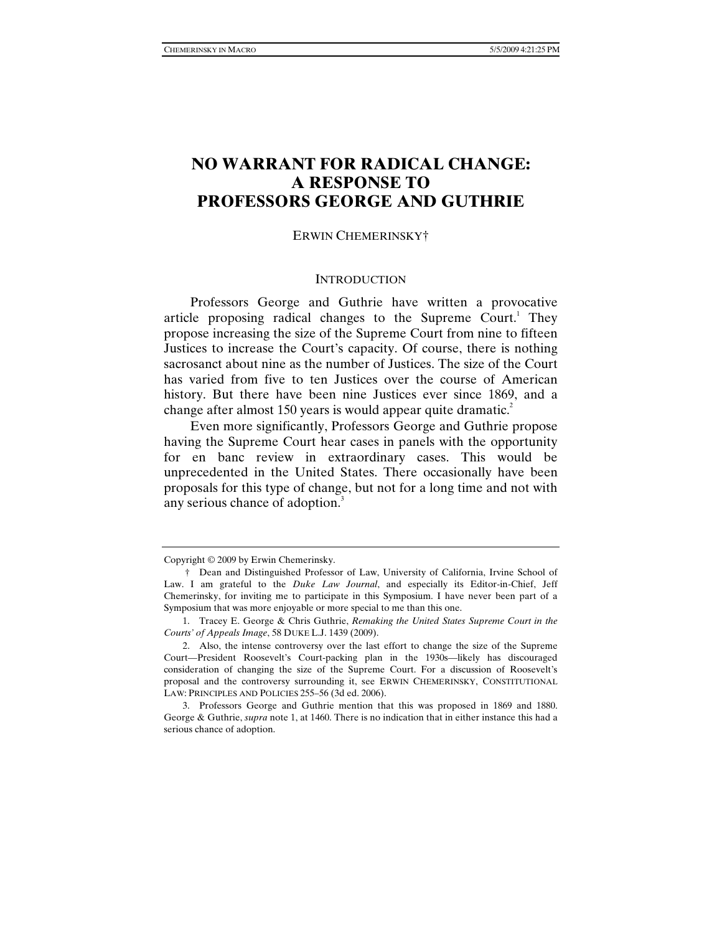# **NO WARRANT FOR RADICAL CHANGE: A RESPONSE TO PROFESSORS GEORGE AND GUTHRIE**

### ERWIN CHEMERINSKY†

### **INTRODUCTION**

Professors George and Guthrie have written a provocative article proposing radical changes to the Supreme Court.<sup>1</sup> They propose increasing the size of the Supreme Court from nine to fifteen Justices to increase the Court's capacity. Of course, there is nothing sacrosanct about nine as the number of Justices. The size of the Court has varied from five to ten Justices over the course of American history. But there have been nine Justices ever since 1869, and a change after almost 150 years is would appear quite dramatic.<sup>2</sup>

Even more significantly, Professors George and Guthrie propose having the Supreme Court hear cases in panels with the opportunity for en banc review in extraordinary cases. This would be unprecedented in the United States. There occasionally have been proposals for this type of change, but not for a long time and not with any serious chance of adoption.<sup>3</sup>

Copyright © 2009 by Erwin Chemerinsky.

 <sup>†</sup> Dean and Distinguished Professor of Law, University of California, Irvine School of Law. I am grateful to the *Duke Law Journal*, and especially its Editor-in-Chief, Jeff Chemerinsky, for inviting me to participate in this Symposium. I have never been part of a Symposium that was more enjoyable or more special to me than this one.

 <sup>1.</sup> Tracey E. George & Chris Guthrie, *Remaking the United States Supreme Court in the Courts' of Appeals Image*, 58 DUKE L.J. 1439 (2009).

 <sup>2.</sup> Also, the intense controversy over the last effort to change the size of the Supreme Court—President Roosevelt's Court-packing plan in the 1930s—likely has discouraged consideration of changing the size of the Supreme Court. For a discussion of Roosevelt's proposal and the controversy surrounding it, see ERWIN CHEMERINSKY, CONSTITUTIONAL LAW: PRINCIPLES AND POLICIES 255–56 (3d ed. 2006).

 <sup>3.</sup> Professors George and Guthrie mention that this was proposed in 1869 and 1880. George & Guthrie, *supra* note 1, at 1460. There is no indication that in either instance this had a serious chance of adoption.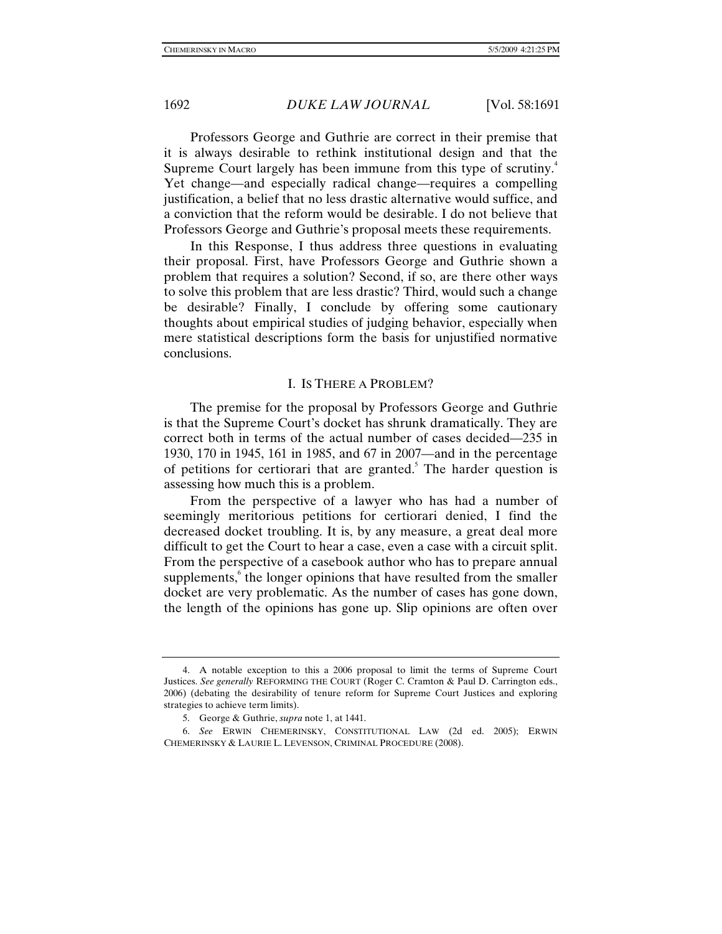Professors George and Guthrie are correct in their premise that it is always desirable to rethink institutional design and that the Supreme Court largely has been immune from this type of scrutiny.<sup>4</sup> Yet change—and especially radical change—requires a compelling justification, a belief that no less drastic alternative would suffice, and a conviction that the reform would be desirable. I do not believe that Professors George and Guthrie's proposal meets these requirements.

In this Response, I thus address three questions in evaluating their proposal. First, have Professors George and Guthrie shown a problem that requires a solution? Second, if so, are there other ways to solve this problem that are less drastic? Third, would such a change be desirable? Finally, I conclude by offering some cautionary thoughts about empirical studies of judging behavior, especially when mere statistical descriptions form the basis for unjustified normative conclusions.

## I. IS THERE A PROBLEM?

The premise for the proposal by Professors George and Guthrie is that the Supreme Court's docket has shrunk dramatically. They are correct both in terms of the actual number of cases decided—235 in 1930, 170 in 1945, 161 in 1985, and 67 in 2007—and in the percentage of petitions for certiorari that are granted.<sup>5</sup> The harder question is assessing how much this is a problem.

From the perspective of a lawyer who has had a number of seemingly meritorious petitions for certiorari denied, I find the decreased docket troubling. It is, by any measure, a great deal more difficult to get the Court to hear a case, even a case with a circuit split. From the perspective of a casebook author who has to prepare annual supplements,<sup>6</sup> the longer opinions that have resulted from the smaller docket are very problematic. As the number of cases has gone down, the length of the opinions has gone up. Slip opinions are often over

 <sup>4.</sup> A notable exception to this a 2006 proposal to limit the terms of Supreme Court Justices. *See generally* REFORMING THE COURT (Roger C. Cramton & Paul D. Carrington eds., 2006) (debating the desirability of tenure reform for Supreme Court Justices and exploring strategies to achieve term limits).

 <sup>5.</sup> George & Guthrie, *supra* note 1, at 1441.

 <sup>6.</sup> *See* ERWIN CHEMERINSKY, CONSTITUTIONAL LAW (2d ed. 2005); ERWIN CHEMERINSKY & LAURIE L. LEVENSON, CRIMINAL PROCEDURE (2008).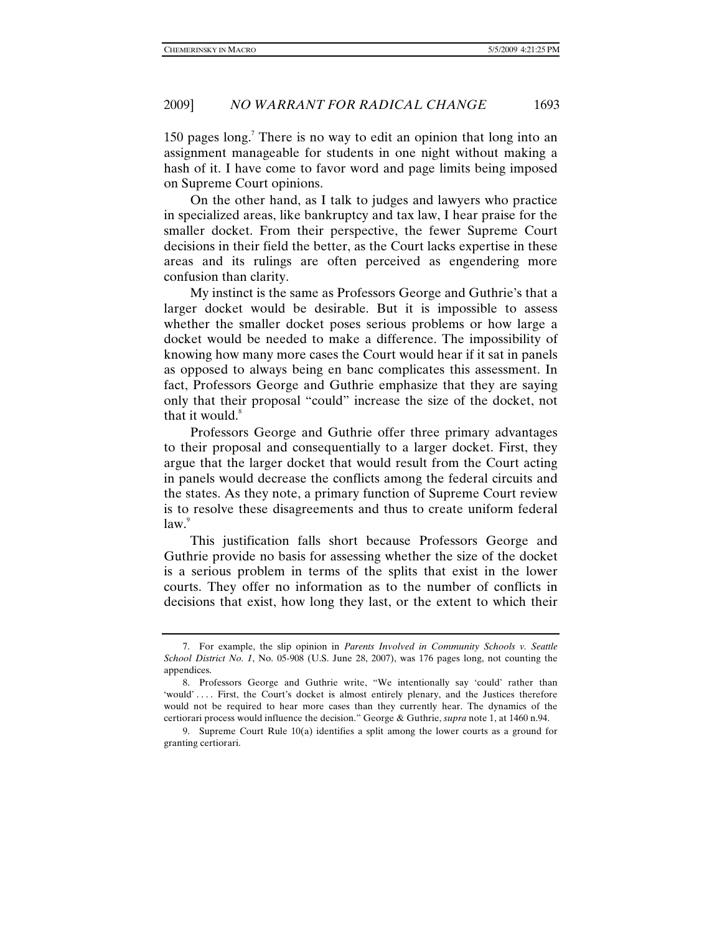150 pages long.<sup>7</sup> There is no way to edit an opinion that long into an assignment manageable for students in one night without making a hash of it. I have come to favor word and page limits being imposed on Supreme Court opinions.

On the other hand, as I talk to judges and lawyers who practice in specialized areas, like bankruptcy and tax law, I hear praise for the smaller docket. From their perspective, the fewer Supreme Court decisions in their field the better, as the Court lacks expertise in these areas and its rulings are often perceived as engendering more confusion than clarity.

My instinct is the same as Professors George and Guthrie's that a larger docket would be desirable. But it is impossible to assess whether the smaller docket poses serious problems or how large a docket would be needed to make a difference. The impossibility of knowing how many more cases the Court would hear if it sat in panels as opposed to always being en banc complicates this assessment. In fact, Professors George and Guthrie emphasize that they are saying only that their proposal "could" increase the size of the docket, not that it would. $\delta$ 

Professors George and Guthrie offer three primary advantages to their proposal and consequentially to a larger docket. First, they argue that the larger docket that would result from the Court acting in panels would decrease the conflicts among the federal circuits and the states. As they note, a primary function of Supreme Court review is to resolve these disagreements and thus to create uniform federal  $law.<sup>9</sup>$ 

This justification falls short because Professors George and Guthrie provide no basis for assessing whether the size of the docket is a serious problem in terms of the splits that exist in the lower courts. They offer no information as to the number of conflicts in decisions that exist, how long they last, or the extent to which their

 <sup>7.</sup> For example, the slip opinion in *Parents Involved in Community Schools v. Seattle School District No. 1*, No. 05-908 (U.S. June 28, 2007), was 176 pages long, not counting the appendices.

 <sup>8.</sup> Professors George and Guthrie write, "We intentionally say 'could' rather than 'would' . . . . First, the Court's docket is almost entirely plenary, and the Justices therefore would not be required to hear more cases than they currently hear. The dynamics of the certiorari process would influence the decision." George & Guthrie, *supra* note 1, at 1460 n.94.

 <sup>9.</sup> Supreme Court Rule 10(a) identifies a split among the lower courts as a ground for granting certiorari.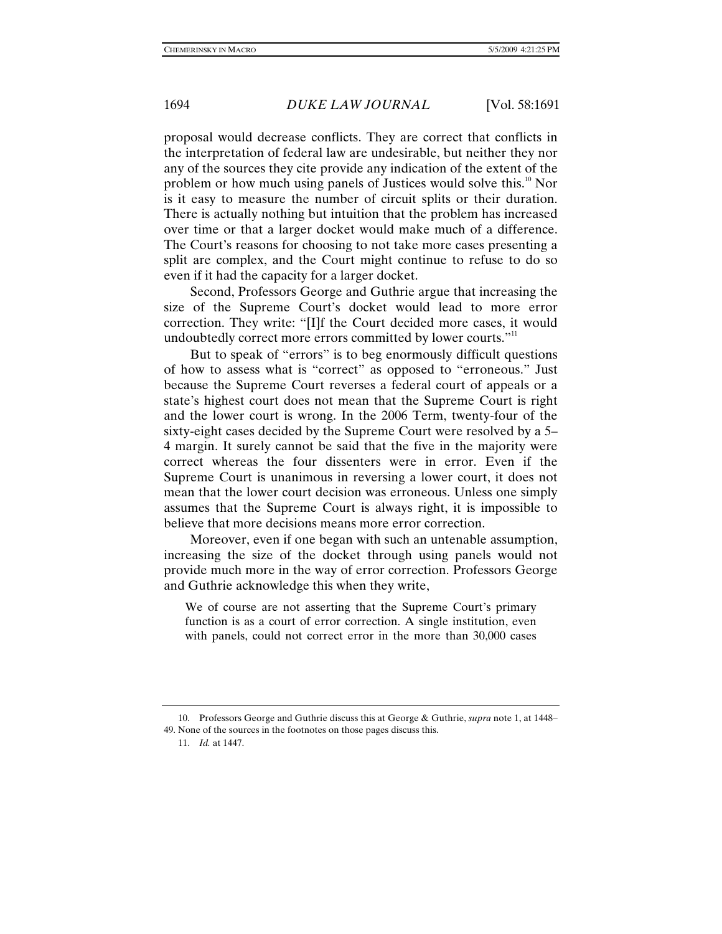proposal would decrease conflicts. They are correct that conflicts in the interpretation of federal law are undesirable, but neither they nor any of the sources they cite provide any indication of the extent of the problem or how much using panels of Justices would solve this.<sup>10</sup> Nor is it easy to measure the number of circuit splits or their duration. There is actually nothing but intuition that the problem has increased over time or that a larger docket would make much of a difference. The Court's reasons for choosing to not take more cases presenting a split are complex, and the Court might continue to refuse to do so even if it had the capacity for a larger docket.

Second, Professors George and Guthrie argue that increasing the size of the Supreme Court's docket would lead to more error correction. They write: "[I]f the Court decided more cases, it would undoubtedly correct more errors committed by lower courts."<sup>11</sup>

But to speak of "errors" is to beg enormously difficult questions of how to assess what is "correct" as opposed to "erroneous." Just because the Supreme Court reverses a federal court of appeals or a state's highest court does not mean that the Supreme Court is right and the lower court is wrong. In the 2006 Term, twenty-four of the sixty-eight cases decided by the Supreme Court were resolved by a 5– 4 margin. It surely cannot be said that the five in the majority were correct whereas the four dissenters were in error. Even if the Supreme Court is unanimous in reversing a lower court, it does not mean that the lower court decision was erroneous. Unless one simply assumes that the Supreme Court is always right, it is impossible to believe that more decisions means more error correction.

Moreover, even if one began with such an untenable assumption, increasing the size of the docket through using panels would not provide much more in the way of error correction. Professors George and Guthrie acknowledge this when they write,

We of course are not asserting that the Supreme Court's primary function is as a court of error correction. A single institution, even with panels, could not correct error in the more than 30,000 cases

 <sup>10.</sup> Professors George and Guthrie discuss this at George & Guthrie, *supra* note 1, at 1448– 49. None of the sources in the footnotes on those pages discuss this.

 <sup>11.</sup> *Id.* at 1447.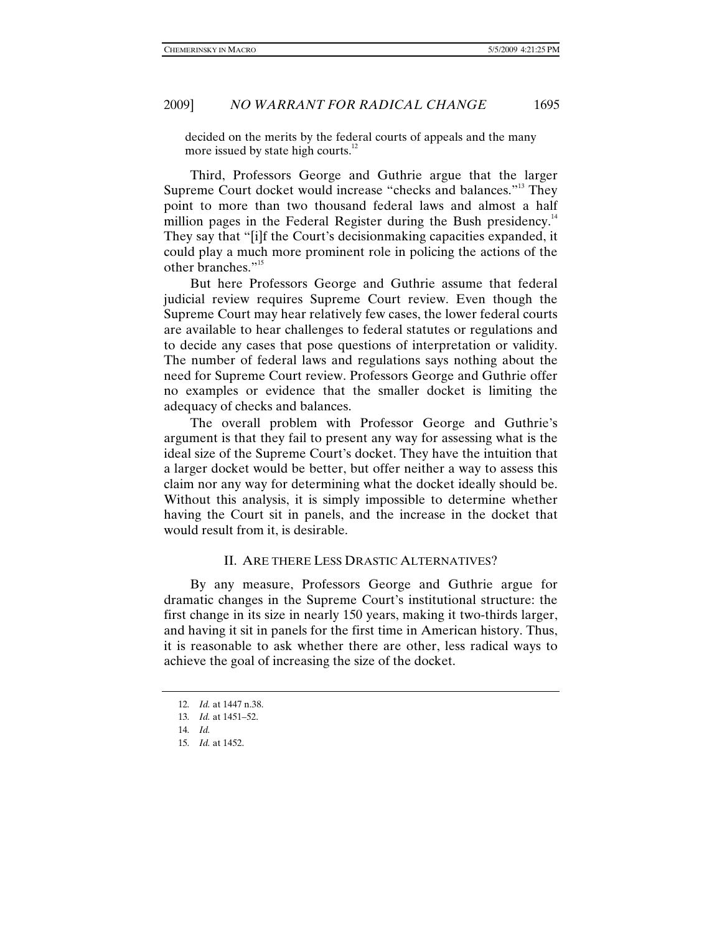decided on the merits by the federal courts of appeals and the many more issued by state high courts. $^{12}$ 

Third, Professors George and Guthrie argue that the larger Supreme Court docket would increase "checks and balances."<sup>13</sup> They point to more than two thousand federal laws and almost a half million pages in the Federal Register during the Bush presidency.<sup>14</sup> They say that "[i]f the Court's decisionmaking capacities expanded, it could play a much more prominent role in policing the actions of the other branches."15

But here Professors George and Guthrie assume that federal judicial review requires Supreme Court review. Even though the Supreme Court may hear relatively few cases, the lower federal courts are available to hear challenges to federal statutes or regulations and to decide any cases that pose questions of interpretation or validity. The number of federal laws and regulations says nothing about the need for Supreme Court review. Professors George and Guthrie offer no examples or evidence that the smaller docket is limiting the adequacy of checks and balances.

The overall problem with Professor George and Guthrie's argument is that they fail to present any way for assessing what is the ideal size of the Supreme Court's docket. They have the intuition that a larger docket would be better, but offer neither a way to assess this claim nor any way for determining what the docket ideally should be. Without this analysis, it is simply impossible to determine whether having the Court sit in panels, and the increase in the docket that would result from it, is desirable.

## II. ARE THERE LESS DRASTIC ALTERNATIVES?

By any measure, Professors George and Guthrie argue for dramatic changes in the Supreme Court's institutional structure: the first change in its size in nearly 150 years, making it two-thirds larger, and having it sit in panels for the first time in American history. Thus, it is reasonable to ask whether there are other, less radical ways to achieve the goal of increasing the size of the docket.

<sup>12</sup>*. Id.* at 1447 n.38.

<sup>13</sup>*. Id.* at 1451–52.

<sup>14</sup>*. Id.*

<sup>15</sup>*. Id.* at 1452.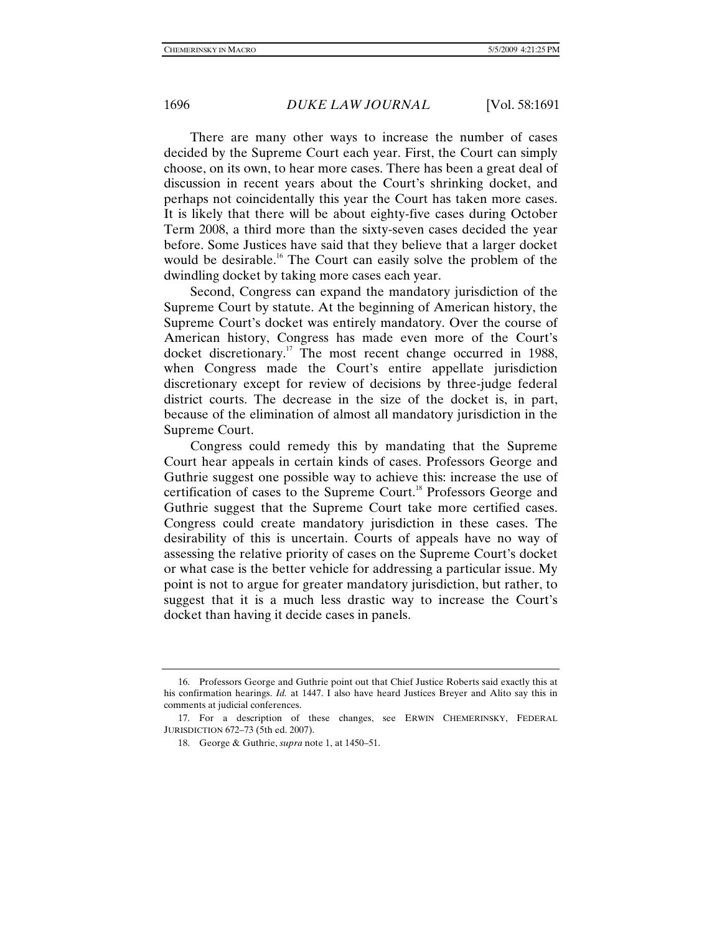There are many other ways to increase the number of cases decided by the Supreme Court each year. First, the Court can simply choose, on its own, to hear more cases. There has been a great deal of discussion in recent years about the Court's shrinking docket, and perhaps not coincidentally this year the Court has taken more cases. It is likely that there will be about eighty-five cases during October Term 2008, a third more than the sixty-seven cases decided the year before. Some Justices have said that they believe that a larger docket would be desirable.<sup>16</sup> The Court can easily solve the problem of the dwindling docket by taking more cases each year.

Second, Congress can expand the mandatory jurisdiction of the Supreme Court by statute. At the beginning of American history, the Supreme Court's docket was entirely mandatory. Over the course of American history, Congress has made even more of the Court's docket discretionary.<sup>17</sup> The most recent change occurred in 1988, when Congress made the Court's entire appellate jurisdiction discretionary except for review of decisions by three-judge federal district courts. The decrease in the size of the docket is, in part, because of the elimination of almost all mandatory jurisdiction in the Supreme Court.

Congress could remedy this by mandating that the Supreme Court hear appeals in certain kinds of cases. Professors George and Guthrie suggest one possible way to achieve this: increase the use of certification of cases to the Supreme Court.<sup>18</sup> Professors George and Guthrie suggest that the Supreme Court take more certified cases. Congress could create mandatory jurisdiction in these cases. The desirability of this is uncertain. Courts of appeals have no way of assessing the relative priority of cases on the Supreme Court's docket or what case is the better vehicle for addressing a particular issue. My point is not to argue for greater mandatory jurisdiction, but rather, to suggest that it is a much less drastic way to increase the Court's docket than having it decide cases in panels.

 <sup>16.</sup> Professors George and Guthrie point out that Chief Justice Roberts said exactly this at his confirmation hearings. *Id.* at 1447. I also have heard Justices Breyer and Alito say this in comments at judicial conferences.

 <sup>17.</sup> For a description of these changes, see ERWIN CHEMERINSKY, FEDERAL JURISDICTION 672–73 (5th ed. 2007).

 <sup>18.</sup> George & Guthrie, *supra* note 1, at 1450–51.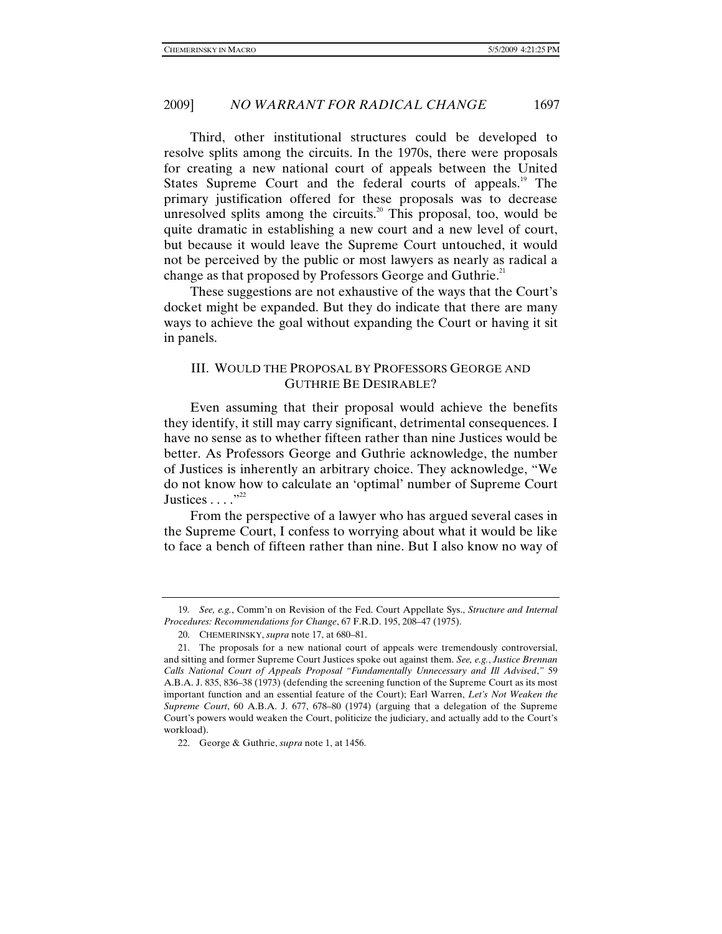Third, other institutional structures could be developed to resolve splits among the circuits. In the 1970s, there were proposals for creating a new national court of appeals between the United States Supreme Court and the federal courts of appeals.<sup>19</sup> The primary justification offered for these proposals was to decrease unresolved splits among the circuits.<sup>20</sup> This proposal, too, would be quite dramatic in establishing a new court and a new level of court, but because it would leave the Supreme Court untouched, it would not be perceived by the public or most lawyers as nearly as radical a change as that proposed by Professors George and Guthrie.<sup>21</sup>

These suggestions are not exhaustive of the ways that the Court's docket might be expanded. But they do indicate that there are many ways to achieve the goal without expanding the Court or having it sit in panels.

## III. WOULD THE PROPOSAL BY PROFESSORS GEORGE AND GUTHRIE BE DESIRABLE?

Even assuming that their proposal would achieve the benefits they identify, it still may carry significant, detrimental consequences. I have no sense as to whether fifteen rather than nine Justices would be better. As Professors George and Guthrie acknowledge, the number of Justices is inherently an arbitrary choice. They acknowledge, "We do not know how to calculate an 'optimal' number of Supreme Court Justices . . . . "<sup>22</sup>

From the perspective of a lawyer who has argued several cases in the Supreme Court, I confess to worrying about what it would be like to face a bench of fifteen rather than nine. But I also know no way of

<sup>19</sup>*. See, e.g.*, Comm'n on Revision of the Fed. Court Appellate Sys., *Structure and Internal Procedures: Recommendations for Change*, 67 F.R.D. 195, 208–47 (1975).

 <sup>20.</sup> CHEMERINSKY, *supra* note 17, at 680–81.

 <sup>21.</sup> The proposals for a new national court of appeals were tremendously controversial, and sitting and former Supreme Court Justices spoke out against them. *See, e.g.*, *Justice Brennan Calls National Court of Appeals Proposal "Fundamentally Unnecessary and Ill Advised*,*"* 59 A.B.A. J. 835, 836–38 (1973) (defending the screening function of the Supreme Court as its most important function and an essential feature of the Court); Earl Warren, *Let's Not Weaken the Supreme Court*, 60 A.B.A. J. 677, 678–80 (1974) (arguing that a delegation of the Supreme Court's powers would weaken the Court, politicize the judiciary, and actually add to the Court's workload).

 <sup>22.</sup> George & Guthrie, *supra* note 1, at 1456.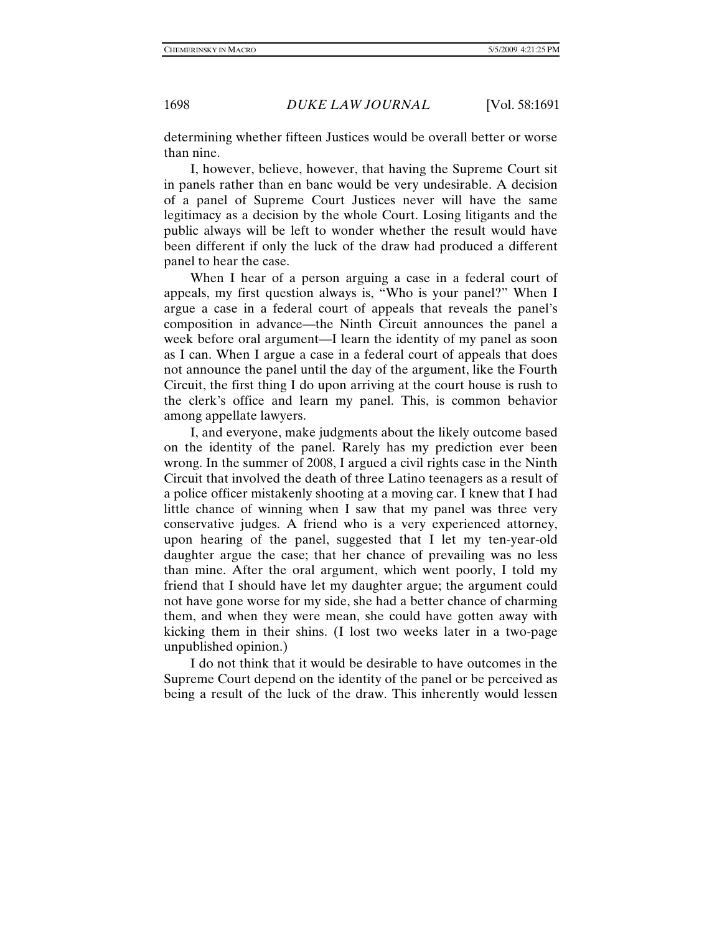determining whether fifteen Justices would be overall better or worse than nine.

I, however, believe, however, that having the Supreme Court sit in panels rather than en banc would be very undesirable. A decision of a panel of Supreme Court Justices never will have the same legitimacy as a decision by the whole Court. Losing litigants and the public always will be left to wonder whether the result would have been different if only the luck of the draw had produced a different panel to hear the case.

When I hear of a person arguing a case in a federal court of appeals, my first question always is, "Who is your panel?" When I argue a case in a federal court of appeals that reveals the panel's composition in advance—the Ninth Circuit announces the panel a week before oral argument—I learn the identity of my panel as soon as I can. When I argue a case in a federal court of appeals that does not announce the panel until the day of the argument, like the Fourth Circuit, the first thing I do upon arriving at the court house is rush to the clerk's office and learn my panel. This, is common behavior among appellate lawyers.

I, and everyone, make judgments about the likely outcome based on the identity of the panel. Rarely has my prediction ever been wrong. In the summer of 2008, I argued a civil rights case in the Ninth Circuit that involved the death of three Latino teenagers as a result of a police officer mistakenly shooting at a moving car. I knew that I had little chance of winning when I saw that my panel was three very conservative judges. A friend who is a very experienced attorney, upon hearing of the panel, suggested that I let my ten-year-old daughter argue the case; that her chance of prevailing was no less than mine. After the oral argument, which went poorly, I told my friend that I should have let my daughter argue; the argument could not have gone worse for my side, she had a better chance of charming them, and when they were mean, she could have gotten away with kicking them in their shins. (I lost two weeks later in a two-page unpublished opinion.)

I do not think that it would be desirable to have outcomes in the Supreme Court depend on the identity of the panel or be perceived as being a result of the luck of the draw. This inherently would lessen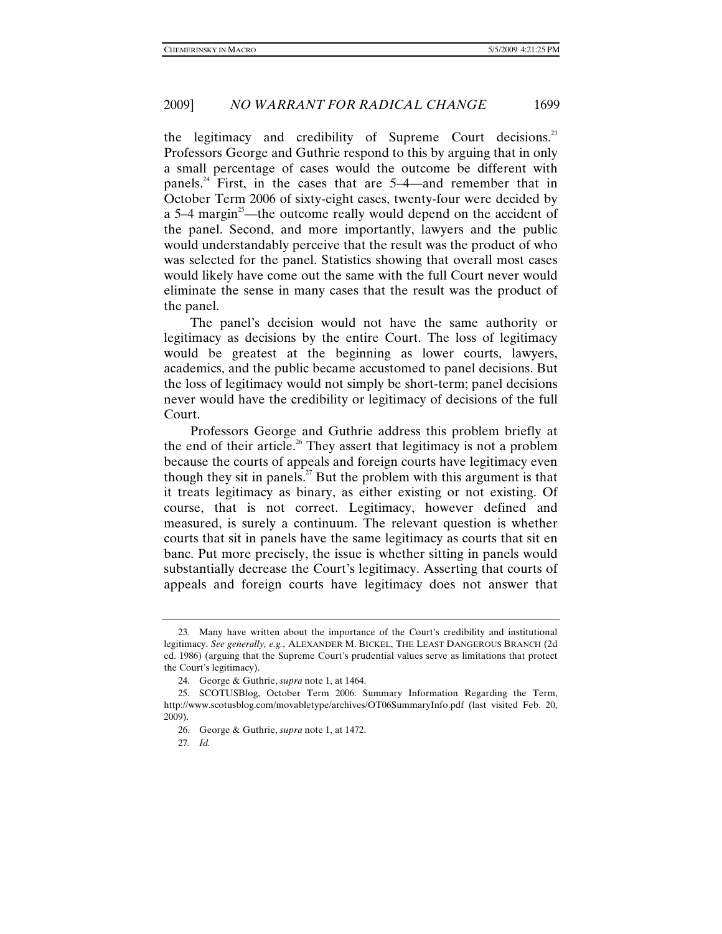the legitimacy and credibility of Supreme Court decisions.<sup>23</sup> Professors George and Guthrie respond to this by arguing that in only a small percentage of cases would the outcome be different with panels.<sup>24</sup> First, in the cases that are  $5-4$ —and remember that in October Term 2006 of sixty-eight cases, twenty-four were decided by a  $5-4$  margin<sup>23</sup>—the outcome really would depend on the accident of the panel. Second, and more importantly, lawyers and the public would understandably perceive that the result was the product of who was selected for the panel. Statistics showing that overall most cases would likely have come out the same with the full Court never would eliminate the sense in many cases that the result was the product of the panel.

The panel's decision would not have the same authority or legitimacy as decisions by the entire Court. The loss of legitimacy would be greatest at the beginning as lower courts, lawyers, academics, and the public became accustomed to panel decisions. But the loss of legitimacy would not simply be short-term; panel decisions never would have the credibility or legitimacy of decisions of the full Court.

Professors George and Guthrie address this problem briefly at the end of their article.<sup>26</sup> They assert that legitimacy is not a problem because the courts of appeals and foreign courts have legitimacy even though they sit in panels.<sup>27</sup> But the problem with this argument is that it treats legitimacy as binary, as either existing or not existing. Of course, that is not correct. Legitimacy, however defined and measured, is surely a continuum. The relevant question is whether courts that sit in panels have the same legitimacy as courts that sit en banc. Put more precisely, the issue is whether sitting in panels would substantially decrease the Court's legitimacy. Asserting that courts of appeals and foreign courts have legitimacy does not answer that

 <sup>23.</sup> Many have written about the importance of the Court's credibility and institutional legitimacy. *See generally, e.g.*, ALEXANDER M. BICKEL, THE LEAST DANGEROUS BRANCH (2d ed. 1986) (arguing that the Supreme Court's prudential values serve as limitations that protect the Court's legitimacy).

 <sup>24.</sup> George & Guthrie, *supra* note 1, at 1464.

 <sup>25.</sup> SCOTUSBlog, October Term 2006: Summary Information Regarding the Term, http://www.scotusblog.com/movabletype/archives/OT06SummaryInfo.pdf (last visited Feb. 20, 2009).

 <sup>26.</sup> George & Guthrie, *supra* note 1, at 1472.

<sup>27</sup>*. Id.*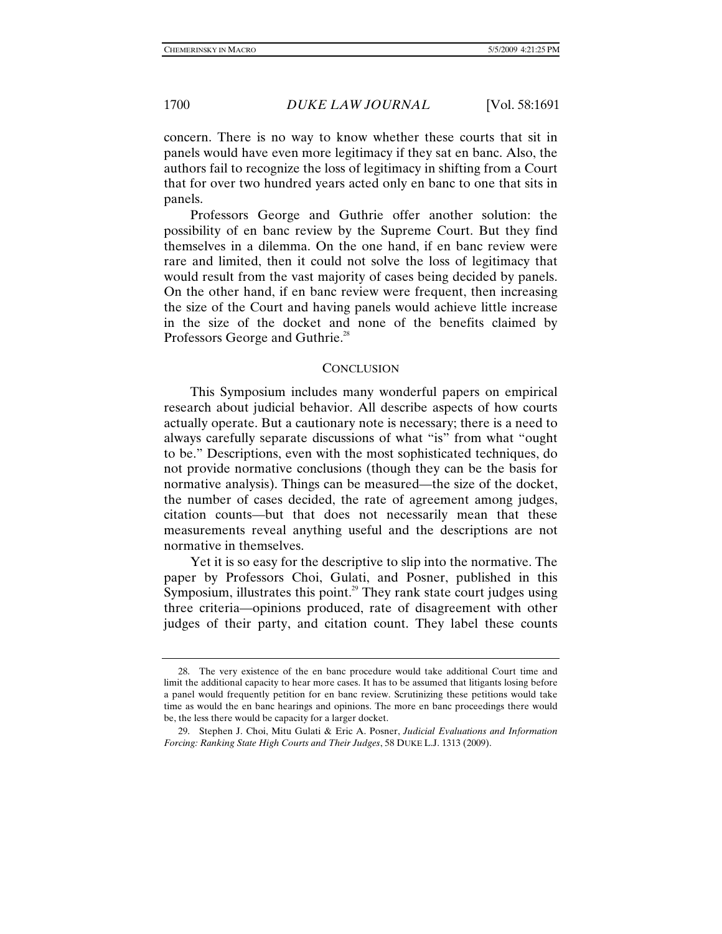concern. There is no way to know whether these courts that sit in panels would have even more legitimacy if they sat en banc. Also, the authors fail to recognize the loss of legitimacy in shifting from a Court that for over two hundred years acted only en banc to one that sits in panels.

Professors George and Guthrie offer another solution: the possibility of en banc review by the Supreme Court. But they find themselves in a dilemma. On the one hand, if en banc review were rare and limited, then it could not solve the loss of legitimacy that would result from the vast majority of cases being decided by panels. On the other hand, if en banc review were frequent, then increasing the size of the Court and having panels would achieve little increase in the size of the docket and none of the benefits claimed by Professors George and Guthrie.<sup>28</sup>

#### **CONCLUSION**

This Symposium includes many wonderful papers on empirical research about judicial behavior. All describe aspects of how courts actually operate. But a cautionary note is necessary; there is a need to always carefully separate discussions of what "is" from what "ought to be." Descriptions, even with the most sophisticated techniques, do not provide normative conclusions (though they can be the basis for normative analysis). Things can be measured—the size of the docket, the number of cases decided, the rate of agreement among judges, citation counts—but that does not necessarily mean that these measurements reveal anything useful and the descriptions are not normative in themselves.

Yet it is so easy for the descriptive to slip into the normative. The paper by Professors Choi, Gulati, and Posner, published in this Symposium, illustrates this point.<sup>29</sup> They rank state court judges using three criteria—opinions produced, rate of disagreement with other judges of their party, and citation count. They label these counts

 <sup>28.</sup> The very existence of the en banc procedure would take additional Court time and limit the additional capacity to hear more cases. It has to be assumed that litigants losing before a panel would frequently petition for en banc review. Scrutinizing these petitions would take time as would the en banc hearings and opinions. The more en banc proceedings there would be, the less there would be capacity for a larger docket.

 <sup>29.</sup> Stephen J. Choi, Mitu Gulati & Eric A. Posner, *Judicial Evaluations and Information Forcing: Ranking State High Courts and Their Judges*, 58 DUKE L.J. 1313 (2009).